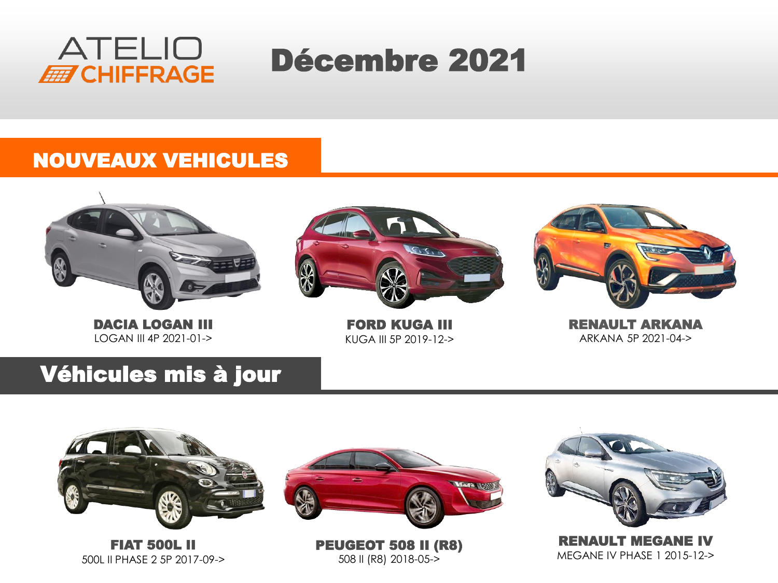

# Décembre 2021

#### NOUVEAUX VEHICULES



DACIA LOGAN III LOGAN III 4P 2021-01->



FORD KUGA III KUGA III 5P 2019-12->



RENAULT ARKANA ARKANA 5P 2021-04->

### Véhicules mis à jour



FIAT 500L II 500L II PHASE 2 5P 2017-09->



PEUGEOT 508 II (R8) 508 II (R8) 2018-05->



RENAULT MEGANE IV MEGANE IV PHASE 1 2015-12->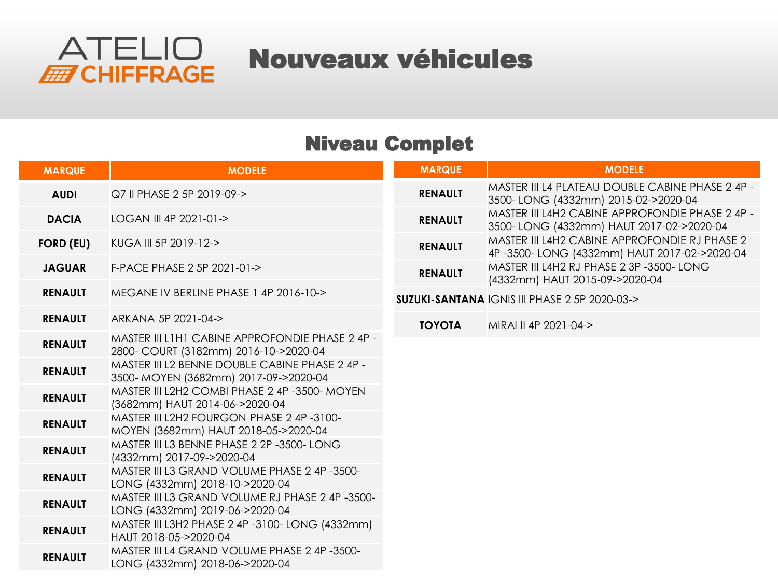

Nouveaux véhicules

#### Niveau Complet

| <b>MARQUE</b>    | <b>MODELE</b>                                                                            | <b>MARQUE</b>  | <b>MODELE</b>                                                                                |
|------------------|------------------------------------------------------------------------------------------|----------------|----------------------------------------------------------------------------------------------|
| <b>AUDI</b>      | Q7 II PHASE 2 5P 2019-09->                                                               | <b>RENAULT</b> | MASTER III L4 PLATEAU DOUBLE CABINE PHASE 2 4P -<br>3500-LONG (4332mm) 2015-02->2020-04      |
| <b>DACIA</b>     | LOGAN III 4P 2021-01->                                                                   | <b>RENAULT</b> | MASTER III L4H2 CABINE APPROFONDIE PHASE 2 4P -<br>3500-LONG (4332mm) HAUT 2017-02->2020-04  |
| <b>FORD (EU)</b> | KUGA III 5P 2019-12->                                                                    | <b>RENAULT</b> | MASTER III L4H2 CABINE APPROFONDIE RJ PHASE 2<br>4P-3500-LONG (4332mm) HAUT 2017-02->2020-04 |
| <b>JAGUAR</b>    | F-PACE PHASE 2 5P 2021-01->                                                              | <b>RENAULT</b> | MASTER III L4H2 RJ PHASE 2 3P -3500- LONG<br>(4332mm) HAUT 2015-09->2020-04                  |
| <b>RENAULT</b>   | MEGANE IV BERLINE PHASE 14P 2016-10->                                                    |                | <b>SUZUKI-SANTANA IGNIS III PHASE 2 5P 2020-03-&gt;</b>                                      |
| <b>RENAULT</b>   | ARKANA 5P 2021-04->                                                                      | <b>TOYOTA</b>  | MIRAI II 4P 2021-04->                                                                        |
| <b>RENAULT</b>   | MASTER III L1H1 CABINE APPROFONDIE PHASE 2 4P -<br>2800- COURT (3182mm) 2016-10->2020-04 |                |                                                                                              |
| <b>RENAULT</b>   | MASTER III L2 BENNE DOUBLE CABINE PHASE 2 4P -<br>3500- MOYEN (3682mm) 2017-09->2020-04  |                |                                                                                              |
| <b>RENAULT</b>   | MASTER III L2H2 COMBI PHASE 2 4P -3500- MOYEN<br>(3682mm) HAUT 2014-06->2020-04          |                |                                                                                              |
| <b>RENAULT</b>   | MASTER III L2H2 FOURGON PHASE 2 4P-3100-<br>MOYEN (3682mm) HAUT 2018-05->2020-04         |                |                                                                                              |
| <b>RENAULT</b>   | MASTER III L3 BENNE PHASE 2 2P -3500- LONG<br>(4332mm) 2017-09->2020-04                  |                |                                                                                              |
| <b>RENAULT</b>   | MASTER III L3 GRAND VOLUME PHASE 2 4P-3500-<br>LONG (4332mm) 2018-10->2020-04            |                |                                                                                              |
| <b>RENAULT</b>   | MASTER III L3 GRAND VOLUME RJ PHASE 2 4P -3500-<br>LONG (4332mm) 2019-06->2020-04        |                |                                                                                              |
| <b>RENAULT</b>   | MASTER III L3H2 PHASE 2 4P -3100- LONG (4332mm)<br>HAUT 2018-05->2020-04                 |                |                                                                                              |
| <b>RENAULT</b>   | MASTER III L4 GRAND VOLUME PHASE 2 4P-3500-<br>LONG (4332mm) 2018-06->2020-04            |                |                                                                                              |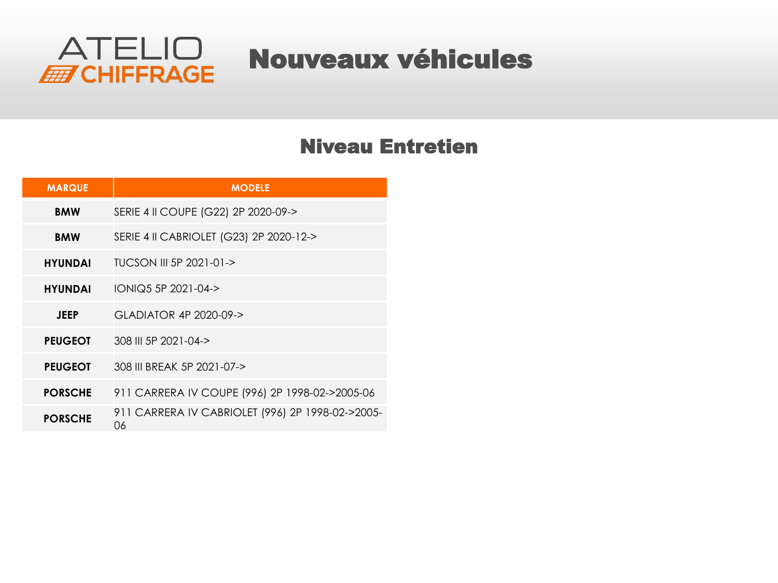

## Nouveaux véhicules

#### Niveau Entretien

| <b>MARQUE</b>  | <b>MODELE</b>                                          |
|----------------|--------------------------------------------------------|
| <b>BMW</b>     | SERIE 4 II COUPE (G22) 2P 2020-09->                    |
| <b>BMW</b>     | SERIE 4 II CABRIOLET (G23) 2P 2020-12->                |
| <b>HYUNDAI</b> | TUCSON III 5P 2021-01->                                |
| <b>HYUNDAI</b> | IONIQ5 5P 2021-04->                                    |
| <b>JEEP</b>    | GLADIATOR 4P 2020-09->                                 |
| <b>PEUGEOT</b> | 308 III 5P 2021-04->                                   |
| <b>PEUGEOT</b> | 308 III BREAK 5P 2021-07->                             |
| <b>PORSCHE</b> | 911 CARRERA IV COUPE (996) 2P 1998-02->2005-06         |
| <b>PORSCHE</b> | 911 CARRERA IV CABRIOLET (996) 2P 1998-02->2005-<br>06 |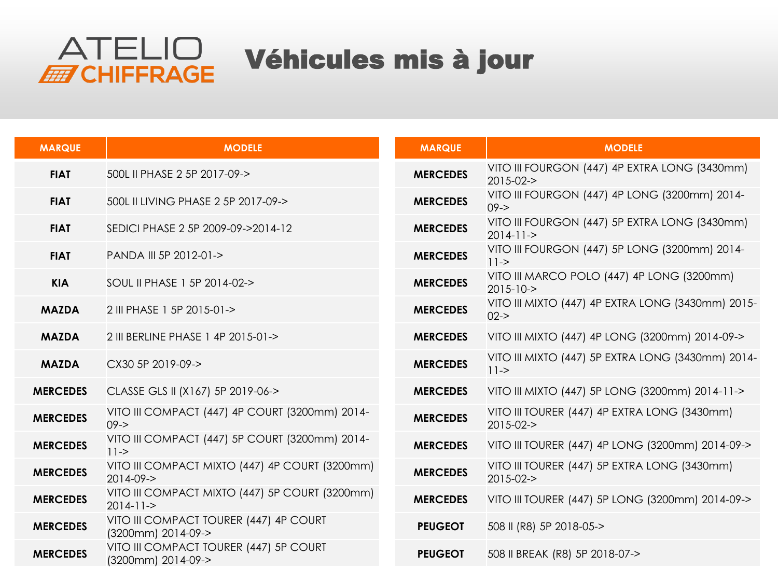

| <b>MARQUE</b>   | <b>MODELE</b>                                                     | <b>MARQUE</b>   | <b>MODELE</b>                                                                |
|-----------------|-------------------------------------------------------------------|-----------------|------------------------------------------------------------------------------|
| <b>FIAT</b>     | 500L II PHASE 2 5P 2017-09->                                      | <b>MERCEDES</b> | VITO III FOURGON (447) 4P EXTRA LONG (3430mm)<br>$2015 - 02 - 5$             |
| <b>FIAT</b>     | 500L II LIVING PHASE 2 5P 2017-09->                               | <b>MERCEDES</b> | VITO III FOURGON (447) 4P LONG (3200mm) 2014-<br>$09 - >$                    |
| <b>FIAT</b>     | SEDICI PHASE 2 5P 2009-09->2014-12                                | <b>MERCEDES</b> | VITO III FOURGON (447) 5P EXTRA LONG (3430mm)<br>$2014 - 11 - >$             |
| <b>FIAT</b>     | PANDA III 5P 2012-01->                                            | <b>MERCEDES</b> | VITO III FOURGON (447) 5P LONG (3200mm) 2014-<br>$11 - >$                    |
| <b>KIA</b>      | SOUL II PHASE 1 5P 2014-02->                                      | <b>MERCEDES</b> | VITO III MARCO POLO (447) 4P LONG (3200mm)<br>$2015 - 10 - >$                |
| <b>MAZDA</b>    | 2 III PHASE 1 5P 2015-01->                                        | <b>MERCEDES</b> | VITO III MIXTO (447) 4P EXTRA LONG (3430mm) 2015-<br>$02 - >$                |
| <b>MAZDA</b>    | 2 III BERLINE PHASE 1 4P 2015-01->                                | <b>MERCEDES</b> | VITO III MIXTO (447) 4P LONG (3200mm) 2014-09->                              |
| <b>MAZDA</b>    | CX30 5P 2019-09->                                                 | <b>MERCEDES</b> | VITO III MIXTO (447) 5P EXTRA LONG (3430mm) 2014-<br>$   $ $ $ $\rightarrow$ |
| <b>MERCEDES</b> | CLASSE GLS II (X167) 5P 2019-06->                                 | <b>MERCEDES</b> | VITO III MIXTO (447) 5P LONG (3200mm) 2014-11->                              |
| <b>MERCEDES</b> | VITO III COMPACT (447) 4P COURT (3200mm) 2014-<br>$09 - >$        | <b>MERCEDES</b> | VITO III TOURER (447) 4P EXTRA LONG (3430mm)<br>$2015 - 02 - 5$              |
| <b>MERCEDES</b> | VITO III COMPACT (447) 5P COURT (3200mm) 2014-<br>$11 - >$        | <b>MERCEDES</b> | VITO III TOURER (447) 4P LONG (3200mm) 2014-09->                             |
| <b>MERCEDES</b> | VITO III COMPACT MIXTO (447) 4P COURT (3200mm)<br>$2014 - 09 - >$ | <b>MERCEDES</b> | VITO III TOURER (447) 5P EXTRA LONG (3430mm)<br>$2015 - 02 - 5$              |
| <b>MERCEDES</b> | VITO III COMPACT MIXTO (447) 5P COURT (3200mm)<br>$2014 - 11 - >$ | <b>MERCEDES</b> | VITO III TOURER (447) 5P LONG (3200mm) 2014-09->                             |
| <b>MERCEDES</b> | VITO III COMPACT TOURER (447) 4P COURT<br>(3200mm) 2014-09->      | <b>PEUGEOT</b>  | 508 II (R8) 5P 2018-05->                                                     |
| <b>MERCEDES</b> | VITO III COMPACT TOURER (447) 5P COURT<br>(3200mm) 2014-09->      | <b>PEUGEOT</b>  | 508 II BREAK (R8) 5P 2018-07->                                               |